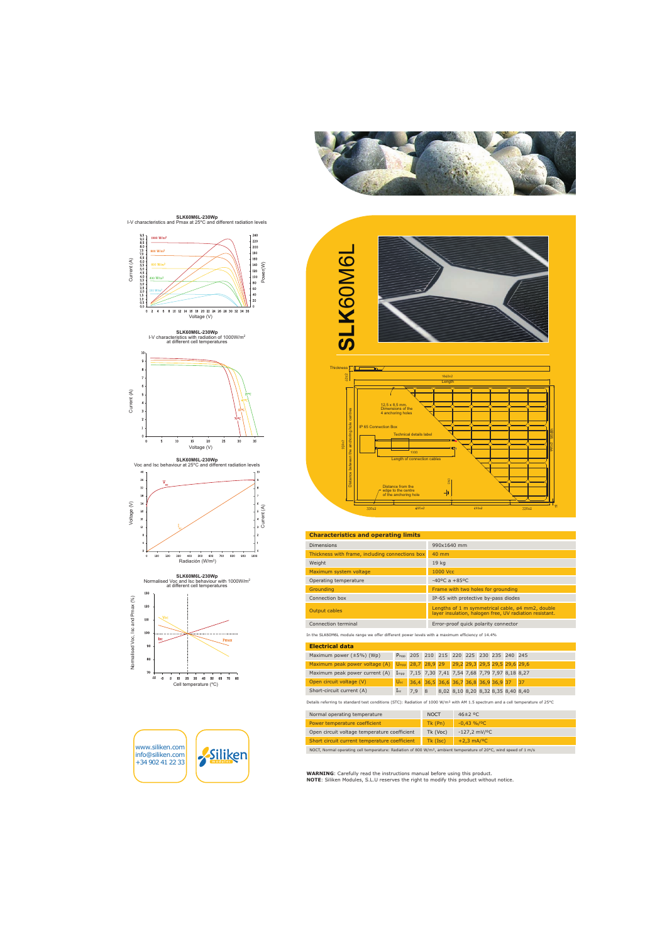













www.siliken.com info@siliken.com +34 902 41 22 33









#### Characteristics and onerating limits

| <b>Dimensions</b>                               | 990x1640 mm                                                                                                 |
|-------------------------------------------------|-------------------------------------------------------------------------------------------------------------|
| Thickness with frame, including connections box | $40 \text{ mm}$                                                                                             |
| Weight                                          | 19 <sub>kg</sub>                                                                                            |
| Maximum system voltage                          | 1000 Vcc                                                                                                    |
| Operating temperature                           | $-40^{\circ}$ C a $+85^{\circ}$ C                                                                           |
| Grounding                                       | Frame with two holes for grounding                                                                          |
| Connection box                                  | IP-65 with protective by-pass diodes                                                                        |
| Output cables                                   | Lengths of 1 m symmetrical cable, ø4 mm2, double<br>layer insulation, halogen free, UV radiation resistant. |
| Connection terminal                             | Error-proof quick polarity connector                                                                        |
|                                                 |                                                                                                             |

In the SLK60M6L module range we offer different power levels with a maximum efficiency of 14.4%

| <b>Electrical data</b>                                                                     |          |                                                          |  |                                    |  |  |  |  |  |
|--------------------------------------------------------------------------------------------|----------|----------------------------------------------------------|--|------------------------------------|--|--|--|--|--|
| Maximum power $(\pm 5\%)$ (Wp)                                                             |          | P <sub>mpp</sub> 205 210 215 220 225 230 235 240 245     |  |                                    |  |  |  |  |  |
| Maximum peak power voltage (A) U <sub>mpp</sub> 28,7 28,9 29 29,2 29,3 29,5 29,5 29,6 29,6 |          |                                                          |  |                                    |  |  |  |  |  |
| Maximum peak power current (A)                                                             |          | Impp 7,15 7,30 7,41 7,54 7,68 7,79 7,97 8,18 8,27        |  |                                    |  |  |  |  |  |
| Open circuit voltage (V)                                                                   |          | U <sub>oc</sub> 36,4 36,5 36,6 36,7 36,8 36,9 36,9 37 37 |  |                                    |  |  |  |  |  |
| Short-circuit current (A)                                                                  | $I_{sc}$ | 7,9 8                                                    |  | 8,02 8,10 8,20 8,32 8,35 8,40 8,40 |  |  |  |  |  |

Details referring to standard test conditions (STC): Radiation of 1000 W/m<sup>2</sup> with AM 1.5 spectrum and a cell temperature of 25°C

| Normal operating temperature                  | <b>NOCT</b> | $46\pm2$ °C                   |
|-----------------------------------------------|-------------|-------------------------------|
| Power temperature coefficient                 | Tk (Pn)     | $-0.43\% / 0C$                |
| Open circuit voltage temperature coefficient  | $Tk (V_0c)$ | $-127,2$ mV/ <sup>o</sup> C   |
| Short circuit current temperature coefficient |             | $Tk (I_{SC}) +2,3 mA/{}^{o}C$ |

NOCT, Normal operating cell temperature: Radiation of 800 W/m<sup>2</sup>, ambient temperature of 20°C, wind speed of 1 m/s

**WARNING:** Carefully read the instructions manual before using this product. NOTE: Siliken Modules, S.L.U reserves the right to modify this product without notice.